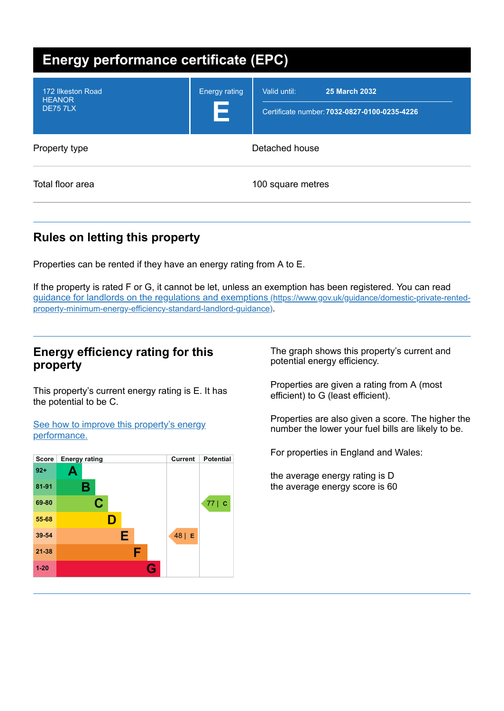| Energy performance certificate (EPC)                  |                           |                                                                                      |
|-------------------------------------------------------|---------------------------|--------------------------------------------------------------------------------------|
| 172 Ilkeston Road<br><b>HEANOR</b><br><b>DE75 7LX</b> | <b>Energy rating</b><br>E | Valid until:<br><b>25 March 2032</b><br>Certificate number: 7032-0827-0100-0235-4226 |
| Property type                                         | Detached house            |                                                                                      |
| Total floor area                                      |                           | 100 square metres                                                                    |

# **Rules on letting this property**

Properties can be rented if they have an energy rating from A to E.

If the property is rated F or G, it cannot be let, unless an exemption has been registered. You can read guidance for landlords on the regulations and exemptions (https://www.gov.uk/guidance/domestic-private-rented[property-minimum-energy-efficiency-standard-landlord-guidance\)](https://www.gov.uk/guidance/domestic-private-rented-property-minimum-energy-efficiency-standard-landlord-guidance).

## **Energy efficiency rating for this property**

This property's current energy rating is E. It has the potential to be C.

See how to improve this property's energy [performance.](#page-2-0)



The graph shows this property's current and potential energy efficiency.

Properties are given a rating from A (most efficient) to G (least efficient).

Properties are also given a score. The higher the number the lower your fuel bills are likely to be.

For properties in England and Wales:

the average energy rating is D the average energy score is 60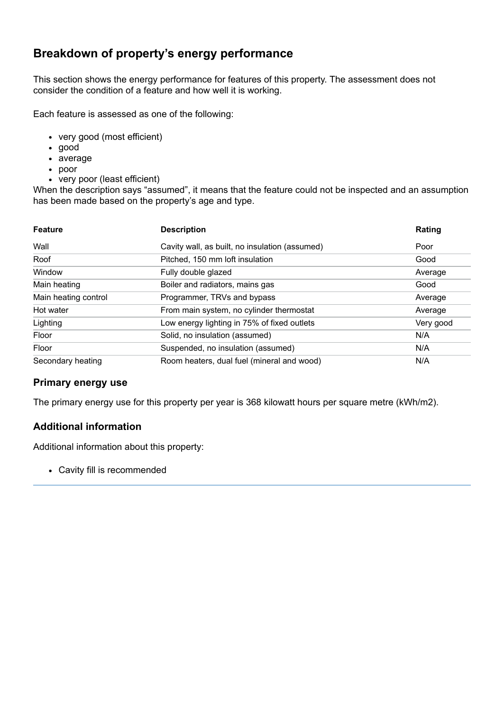# **Breakdown of property's energy performance**

This section shows the energy performance for features of this property. The assessment does not consider the condition of a feature and how well it is working.

Each feature is assessed as one of the following:

- very good (most efficient)
- good
- average
- poor
- very poor (least efficient)

When the description says "assumed", it means that the feature could not be inspected and an assumption has been made based on the property's age and type.

| <b>Feature</b>       | <b>Description</b>                             | Rating    |
|----------------------|------------------------------------------------|-----------|
| Wall                 | Cavity wall, as built, no insulation (assumed) | Poor      |
| Roof                 | Pitched, 150 mm loft insulation                | Good      |
| Window               | Fully double glazed                            | Average   |
| Main heating         | Boiler and radiators, mains gas                | Good      |
| Main heating control | Programmer, TRVs and bypass                    | Average   |
| Hot water            | From main system, no cylinder thermostat       | Average   |
| Lighting             | Low energy lighting in 75% of fixed outlets    | Very good |
| Floor                | Solid, no insulation (assumed)                 | N/A       |
| Floor                | Suspended, no insulation (assumed)             | N/A       |
| Secondary heating    | Room heaters, dual fuel (mineral and wood)     | N/A       |

#### **Primary energy use**

The primary energy use for this property per year is 368 kilowatt hours per square metre (kWh/m2).

#### **Additional information**

Additional information about this property:

Cavity fill is recommended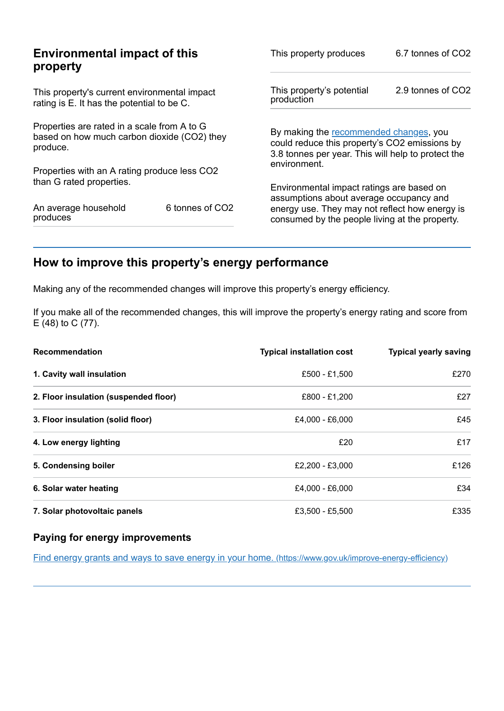| <b>Environmental impact of this</b><br>property                                                        |                 | This property produces                                                                                                                        | 6.7 tonnes of CO2 |
|--------------------------------------------------------------------------------------------------------|-----------------|-----------------------------------------------------------------------------------------------------------------------------------------------|-------------------|
| This property's current environmental impact<br>rating is E. It has the potential to be C.             |                 | This property's potential<br>production                                                                                                       | 2.9 tonnes of CO2 |
| Properties are rated in a scale from A to G<br>based on how much carbon dioxide (CO2) they<br>produce. |                 | By making the recommended changes, you<br>could reduce this property's CO2 emissions by<br>3.8 tonnes per year. This will help to protect the |                   |
| Properties with an A rating produce less CO2                                                           |                 | environment.                                                                                                                                  |                   |
| than G rated properties.                                                                               |                 | Environmental impact ratings are based on<br>assumptions about average occupancy and                                                          |                   |
| An average household<br>produces                                                                       | 6 tonnes of CO2 | energy use. They may not reflect how energy is<br>consumed by the people living at the property.                                              |                   |

# <span id="page-2-0"></span>**How to improve this property's energy performance**

Making any of the recommended changes will improve this property's energy efficiency.

If you make all of the recommended changes, this will improve the property's energy rating and score from E (48) to C (77).

| <b>Recommendation</b>                 | <b>Typical installation cost</b> | <b>Typical yearly saving</b> |
|---------------------------------------|----------------------------------|------------------------------|
| 1. Cavity wall insulation             | £500 - £1,500                    | £270                         |
| 2. Floor insulation (suspended floor) | £800 - £1,200                    | £27                          |
| 3. Floor insulation (solid floor)     | £4,000 - £6,000                  | £45                          |
| 4. Low energy lighting                | £20                              | £17                          |
| 5. Condensing boiler                  | £2,200 - £3,000                  | £126                         |
| 6. Solar water heating                | £4,000 - £6,000                  | £34                          |
| 7. Solar photovoltaic panels          | £3,500 - £5,500                  | £335                         |

#### **Paying for energy improvements**

Find energy grants and ways to save energy in your home. [\(https://www.gov.uk/improve-energy-efficiency\)](https://www.gov.uk/improve-energy-efficiency)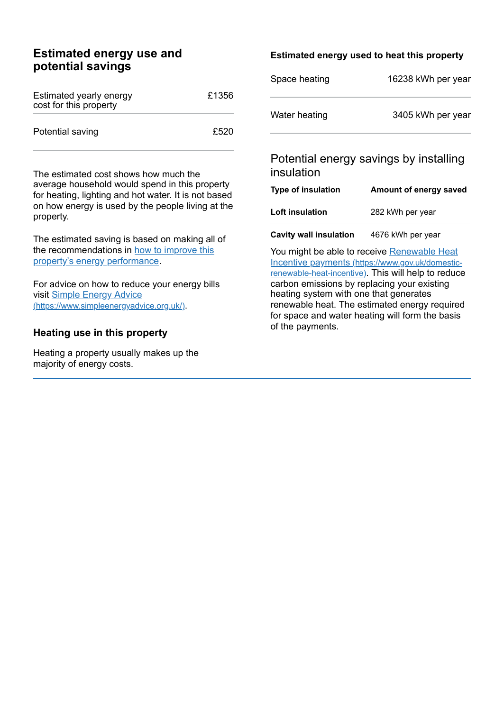## **Estimated energy use and potential savings**

| Estimated yearly energy<br>cost for this property | £1356 |
|---------------------------------------------------|-------|
| Potential saving                                  | £520  |

The estimated cost shows how much the average household would spend in this property for heating, lighting and hot water. It is not based on how energy is used by the people living at the property.

The estimated saving is based on making all of the [recommendations](#page-2-0) in how to improve this property's energy performance.

For advice on how to reduce your energy bills visit Simple Energy Advice [\(https://www.simpleenergyadvice.org.uk/\)](https://www.simpleenergyadvice.org.uk/).

#### **Heating use in this property**

Heating a property usually makes up the majority of energy costs.

#### **Estimated energy used to heat this property**

| Space heating | 16238 kWh per year |
|---------------|--------------------|
| Water heating | 3405 kWh per year  |

## Potential energy savings by installing insulation

| Type of insulation     | Amount of energy saved |
|------------------------|------------------------|
| <b>Loft insulation</b> | 282 kWh per year       |
|                        |                        |

**Cavity wall insulation** 4676 kWh per year

You might be able to receive Renewable Heat Incentive payments [\(https://www.gov.uk/domestic](https://www.gov.uk/domestic-renewable-heat-incentive)renewable-heat-incentive). This will help to reduce carbon emissions by replacing your existing heating system with one that generates renewable heat. The estimated energy required for space and water heating will form the basis of the payments.